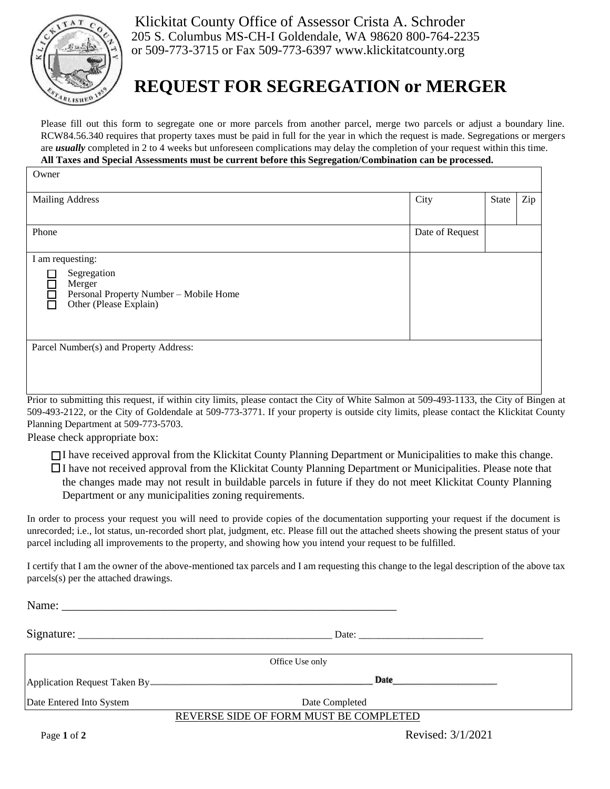

Klickitat County Office of Assessor Crista A. Schroder 205 S. Columbus MS-CH-I Goldendale, WA 98620 800-764-2235 or 509-773-3715 or Fax 509-773-6397 www.klickitatcounty.org

## **REQUEST FOR SEGREGATION or MERGER**

Please fill out this form to segregate one or more parcels from another parcel, merge two parcels or adjust a boundary line. RCW84.56.340 requires that property taxes must be paid in full for the year in which the request is made. Segregations or mergers are *usually* completed in 2 to 4 weeks but unforeseen complications may delay the completion of your request within this time.

## **All Taxes and Special Assessments must be current before this Segregation/Combination can be processed.**

| <b>Mailing Address</b>                                                                                                                                                                                                                                                                                                                       | City            | <b>State</b> | Zip |
|----------------------------------------------------------------------------------------------------------------------------------------------------------------------------------------------------------------------------------------------------------------------------------------------------------------------------------------------|-----------------|--------------|-----|
| Phone                                                                                                                                                                                                                                                                                                                                        | Date of Request |              |     |
| I am requesting:<br>Segregation<br>Merger<br>$\Box$<br>Personal Property Number - Mobile Home<br>Other (Please Explain)                                                                                                                                                                                                                      |                 |              |     |
| Parcel Number(s) and Property Address:<br>$D_{1}$ , $\mu_{1}$ , $\mu_{2}$ , $\mu_{3}$ , $\mu_{4}$ , $\mu_{5}$ , $\mu_{5}$ , $\mu_{6}$ , $\mu_{7}$ , $\mu_{8}$ , $\mu_{10}$ , $\mu_{11}$ , $\mu_{12}$ , $\mu_{13}$ , $\mu_{14}$ , $\mu_{15}$ , $\mu_{16}$ , $\mu_{17}$ , $\mu_{18}$ , $\mu_{19}$ , $\mu_{10}$ , $\mu_{11}$ , $\mu_{12}$ , $\$ |                 |              |     |

Prior to submitting this request, if within city limits, please contact the City of White Salmon at 509-493-1133, the City of Bingen at 509-493-2122, or the City of Goldendale at 509-773-3771. If your property is outside city limits, please contact the Klickitat County Planning Department at 509-773-5703.

Please check appropriate box:

I have received approval from the Klickitat County Planning Department or Municipalities to make this change. I have not received approval from the Klickitat County Planning Department or Municipalities. Please note that the changes made may not result in buildable parcels in future if they do not meet Klickitat County Planning Department or any municipalities zoning requirements.

In order to process your request you will need to provide copies of the documentation supporting your request if the document is unrecorded; i.e., lot status, un-recorded short plat, judgment, etc. Please fill out the attached sheets showing the present status of your parcel including all improvements to the property, and showing how you intend your request to be fulfilled.

I certify that I am the owner of the above-mentioned tax parcels and I am requesting this change to the legal description of the above tax parcels(s) per the attached drawings.

| Office Use only                        |                                                                            |                                                                                                                |  |  |
|----------------------------------------|----------------------------------------------------------------------------|----------------------------------------------------------------------------------------------------------------|--|--|
|                                        | Application Request Taken By <b>Access 19 Application Request Taken By</b> | Date Party and Party and Party and Party and Party and Party and Party and Party and Party and Party and Party |  |  |
| Date Entered Into System               | Date Completed                                                             |                                                                                                                |  |  |
| REVERSE SIDE OF FORM MUST BE COMPLETED |                                                                            |                                                                                                                |  |  |